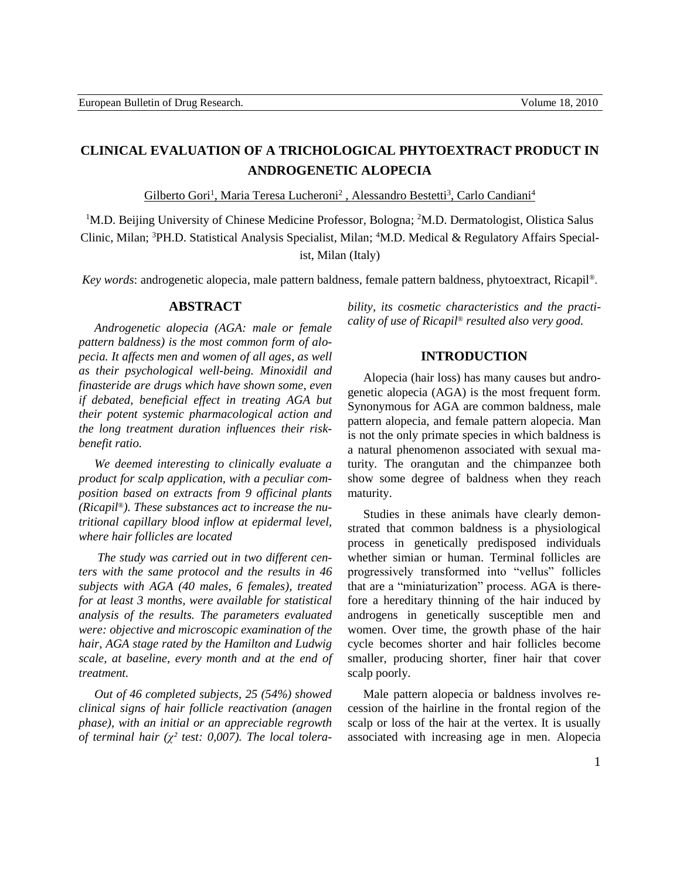# **CLINICAL EVALUATION OF A TRICHOLOGICAL PHYTOEXTRACT PRODUCT IN ANDROGENETIC ALOPECIA**

Gilberto Gori<sup>1</sup>, Maria Teresa Lucheroni<sup>2</sup>, Alessandro Bestetti<sup>3</sup>, Carlo Candiani<sup>4</sup>

<sup>1</sup>M.D. Beijing University of Chinese Medicine Professor, Bologna; <sup>2</sup>M.D. Dermatologist, Olistica Salus Clinic, Milan; <sup>3</sup>PH.D. Statistical Analysis Specialist, Milan; <sup>4</sup>M.D. Medical & Regulatory Affairs Specialist, Milan (Italy)

*Key words*: androgenetic alopecia, male pattern baldness, female pattern baldness, phytoextract, Ricapil®.

#### **ABSTRACT**

*Androgenetic alopecia (AGA: male or female pattern baldness) is the most common form of alopecia. It affects men and women of all ages, as well as their psychological well-being. Minoxidil and finasteride are drugs which have shown some, even if debated, beneficial effect in treating AGA but their potent systemic pharmacological action and the long treatment duration influences their riskbenefit ratio.*

*We deemed interesting to clinically evaluate a product for scalp application, with a peculiar composition based on extracts from 9 officinal plants (Ricapil®). These substances act to increase the nutritional capillary blood inflow at epidermal level, where hair follicles are located*

*The study was carried out in two different centers with the same protocol and the results in 46 subjects with AGA (40 males, 6 females), treated for at least 3 months, were available for statistical analysis of the results. The parameters evaluated were: objective and microscopic examination of the hair, AGA stage rated by the Hamilton and Ludwig scale, at baseline, every month and at the end of treatment.*

*Out of 46 completed subjects, 25 (54%) showed clinical signs of hair follicle reactivation (anagen phase), with an initial or an appreciable regrowth of terminal hair (χ² test: 0,007). The local tolera-* *bility, its cosmetic characteristics and the practicality of use of Ricapil® resulted also very good.*

### **INTRODUCTION**

Alopecia (hair loss) has many causes but androgenetic alopecia (AGA) is the most frequent form. Synonymous for AGA are common baldness, male pattern alopecia, and female pattern alopecia. Man is not the only primate species in which baldness is a natural phenomenon associated with sexual maturity. The orangutan and the chimpanzee both show some degree of baldness when they reach maturity.

Studies in these animals have clearly demonstrated that common baldness is a physiological process in genetically predisposed individuals whether simian or human. Terminal follicles are progressively transformed into "vellus" follicles that are a "miniaturization" process. AGA is therefore a hereditary thinning of the hair induced by androgens in genetically susceptible men and women. Over time, the growth phase of the hair cycle becomes shorter and hair follicles become smaller, producing shorter, finer hair that cover scalp poorly.

Male pattern alopecia or baldness involves recession of the hairline in the frontal region of the scalp or loss of the hair at the vertex. It is usually associated with increasing age in men. Alopecia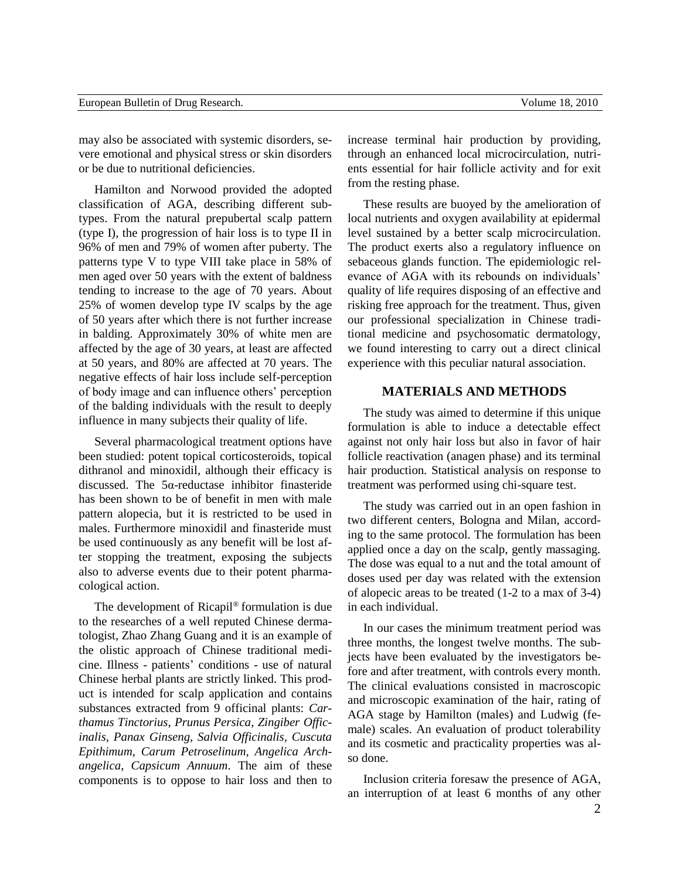|  |  |  | European Bulletin of Drug Research. |
|--|--|--|-------------------------------------|
|--|--|--|-------------------------------------|

may also be associated with systemic disorders, severe emotional and physical stress or skin disorders or be due to nutritional deficiencies.

Hamilton and Norwood provided the adopted classification of AGA, describing different subtypes. From the natural prepubertal scalp pattern (type I), the progression of hair loss is to type II in 96% of men and 79% of women after puberty. The patterns type V to type VIII take place in 58% of men aged over 50 years with the extent of baldness tending to increase to the age of 70 years. About 25% of women develop type IV scalps by the age of 50 years after which there is not further increase in balding. Approximately 30% of white men are affected by the age of 30 years, at least are affected at 50 years, and 80% are affected at 70 years. The negative effects of hair loss include self-perception of body image and can influence others' perception of the balding individuals with the result to deeply influence in many subjects their quality of life.

Several pharmacological treatment options have been studied: potent topical corticosteroids, topical dithranol and minoxidil, although their efficacy is discussed. The  $5\alpha$ -reductase inhibitor finasteride has been shown to be of benefit in men with male pattern alopecia, but it is restricted to be used in males. Furthermore minoxidil and finasteride must be used continuously as any benefit will be lost after stopping the treatment, exposing the subjects also to adverse events due to their potent pharmacological action.

The development of Ricapil® formulation is due to the researches of a well reputed Chinese dermatologist, Zhao Zhang Guang and it is an example of the olistic approach of Chinese traditional medicine. Illness - patients' conditions - use of natural Chinese herbal plants are strictly linked. This product is intended for scalp application and contains substances extracted from 9 officinal plants: *Carthamus Tinctorius*, *Prunus Persica*, *Zingiber Officinalis, Panax Ginseng, Salvia Officinalis, Cuscuta Epithimum, Carum Petroselinum, Angelica Archangelica*, *Capsicum Annuum*. The aim of these components is to oppose to hair loss and then to

increase terminal hair production by providing, through an enhanced local microcirculation, nutrients essential for hair follicle activity and for exit from the resting phase.

These results are buoyed by the amelioration of local nutrients and oxygen availability at epidermal level sustained by a better scalp microcirculation. The product exerts also a regulatory influence on sebaceous glands function. The epidemiologic relevance of AGA with its rebounds on individuals' quality of life requires disposing of an effective and risking free approach for the treatment. Thus, given our professional specialization in Chinese traditional medicine and psychosomatic dermatology, we found interesting to carry out a direct clinical experience with this peculiar natural association.

# **MATERIALS AND METHODS**

The study was aimed to determine if this unique formulation is able to induce a detectable effect against not only hair loss but also in favor of hair follicle reactivation (anagen phase) and its terminal hair production. Statistical analysis on response to treatment was performed using chi-square test.

The study was carried out in an open fashion in two different centers, Bologna and Milan, according to the same protocol. The formulation has been applied once a day on the scalp, gently massaging. The dose was equal to a nut and the total amount of doses used per day was related with the extension of alopecic areas to be treated (1-2 to a max of 3-4) in each individual.

In our cases the minimum treatment period was three months, the longest twelve months. The subjects have been evaluated by the investigators before and after treatment, with controls every month. The clinical evaluations consisted in macroscopic and microscopic examination of the hair, rating of AGA stage by Hamilton (males) and Ludwig (female) scales. An evaluation of product tolerability and its cosmetic and practicality properties was also done.

Inclusion criteria foresaw the presence of AGA, an interruption of at least 6 months of any other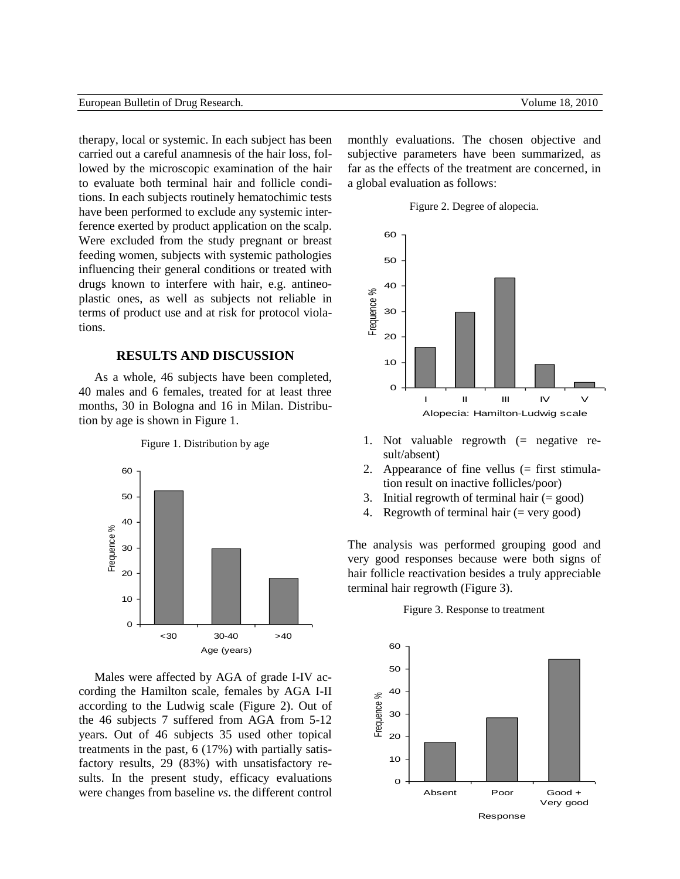therapy, local or systemic. In each subject has been carried out a careful anamnesis of the hair loss, followed by the microscopic examination of the hair to evaluate both terminal hair and follicle conditions. In each subjects routinely hematochimic tests have been performed to exclude any systemic interference exerted by product application on the scalp. Were excluded from the study pregnant or breast feeding women, subjects with systemic pathologies influencing their general conditions or treated with drugs known to interfere with hair, e.g. antineoplastic ones, as well as subjects not reliable in terms of product use and at risk for protocol violations.

# **RESULTS AND DISCUSSION**

As a whole, 46 subjects have been completed, 40 males and 6 females, treated for at least three months, 30 in Bologna and 16 in Milan. Distribution by age is shown in Figure 1.



Figure 1. Distribution by age

Males were affected by AGA of grade I-IV according the Hamilton scale, females by AGA I-II according to the Ludwig scale (Figure 2). Out of the 46 subjects 7 suffered from AGA from 5-12 years. Out of 46 subjects 35 used other topical treatments in the past, 6 (17%) with partially satisfactory results, 29 (83%) with unsatisfactory results. In the present study, efficacy evaluations were changes from baseline *vs*. the different control monthly evaluations. The chosen objective and subjective parameters have been summarized, as far as the effects of the treatment are concerned, in a global evaluation as follows:





- 1. Not valuable regrowth (= negative result/absent)
- 2. Appearance of fine vellus (= first stimulation result on inactive follicles/poor)
- 3. Initial regrowth of terminal hair  $(= \text{good})$
- 4. Regrowth of terminal hair  $(=$  very good)

The analysis was performed grouping good and very good responses because were both signs of hair follicle reactivation besides a truly appreciable terminal hair regrowth (Figure 3).

#### Figure 3. Response to treatment